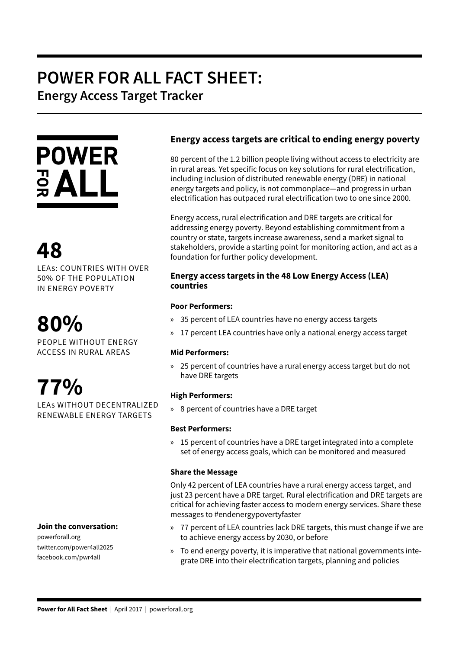# **POWER FOR ALL FACT SHEET: Energy Access Target Tracker**



# **48**

LEAS: COUNTRIES WITH OVER 50% OF THE POPULATION IN ENERGY POVERTY

# **80%**

PEOPLE WITHOUT ENERGY ACCESS IN RURAL AREAS



LEAs WITHOUT DECENTRALIZED RENEWABLE ENERGY TARGETS

## **Join the conversation:**

powerforall.org twitter.com/power4all2025 facebook.com/pwr4all

# **Energy access targets are critical to ending energy poverty**

80 percent of the 1.2 billion people living without access to electricity are in rural areas. Yet specific focus on key solutions for rural electrification, including inclusion of distributed renewable energy (DRE) in national energy targets and policy, is not commonplace—and progress in urban electrification has outpaced rural electrification two to one since 2000.

Energy access, rural electrification and DRE targets are critical for addressing energy poverty. Beyond establishing commitment from a country or state, targets increase awareness, send a market signal to stakeholders, provide a starting point for monitoring action, and act as a foundation for further policy development.

## **Energy access targets in the 48 Low Energy Access (LEA) countries**

### **Poor Performers:**

- » 35 percent of LEA countries have no energy access targets
- » 17 percent LEA countries have only a national energy access target

#### **Mid Performers:**

» 25 percent of countries have a rural energy access target but do not have DRE targets

#### **High Performers:**

» 8 percent of countries have a DRE target

#### **Best Performers:**

» 15 percent of countries have a DRE target integrated into a complete set of energy access goals, which can be monitored and measured

#### **Share the Message**

Only 42 percent of LEA countries have a rural energy access target, and just 23 percent have a DRE target. Rural electrification and DRE targets are critical for achieving faster access to modern energy services. Share these messages to #endenergypovertyfaster

- » 77 percent of LEA countries lack DRE targets, this must change if we are to achieve energy access by 2030, or before
- » To end energy poverty, it is imperative that national governments integrate DRE into their electrification targets, planning and policies